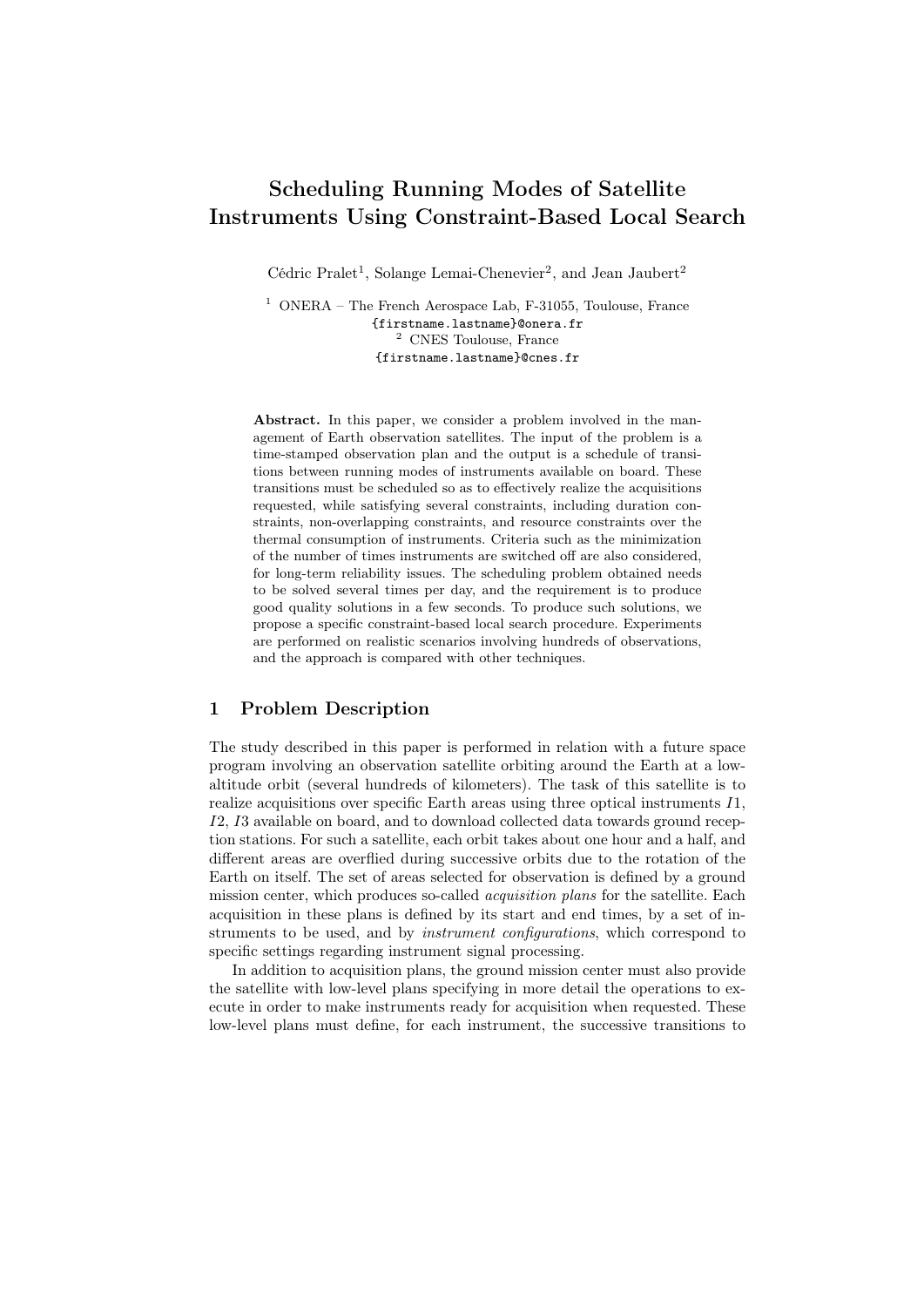# Scheduling Running Modes of Satellite Instruments Using Constraint-Based Local Search

Cédric Pralet<sup>1</sup>, Solange Lemai-Chenevier<sup>2</sup>, and Jean Jaubert<sup>2</sup>

<sup>1</sup> ONERA – The French Aerospace Lab, F-31055, Toulouse, France {firstname.lastname}@onera.fr <sup>2</sup> CNES Toulouse, France {firstname.lastname}@cnes.fr

Abstract. In this paper, we consider a problem involved in the management of Earth observation satellites. The input of the problem is a time-stamped observation plan and the output is a schedule of transitions between running modes of instruments available on board. These transitions must be scheduled so as to effectively realize the acquisitions requested, while satisfying several constraints, including duration constraints, non-overlapping constraints, and resource constraints over the thermal consumption of instruments. Criteria such as the minimization of the number of times instruments are switched off are also considered, for long-term reliability issues. The scheduling problem obtained needs to be solved several times per day, and the requirement is to produce good quality solutions in a few seconds. To produce such solutions, we propose a specific constraint-based local search procedure. Experiments are performed on realistic scenarios involving hundreds of observations, and the approach is compared with other techniques.

# 1 Problem Description

The study described in this paper is performed in relation with a future space program involving an observation satellite orbiting around the Earth at a lowaltitude orbit (several hundreds of kilometers). The task of this satellite is to realize acquisitions over specific Earth areas using three optical instruments I1, I2, I3 available on board, and to download collected data towards ground reception stations. For such a satellite, each orbit takes about one hour and a half, and different areas are overflied during successive orbits due to the rotation of the Earth on itself. The set of areas selected for observation is defined by a ground mission center, which produces so-called *acquisition plans* for the satellite. Each acquisition in these plans is defined by its start and end times, by a set of instruments to be used, and by instrument configurations, which correspond to specific settings regarding instrument signal processing.

In addition to acquisition plans, the ground mission center must also provide the satellite with low-level plans specifying in more detail the operations to execute in order to make instruments ready for acquisition when requested. These low-level plans must define, for each instrument, the successive transitions to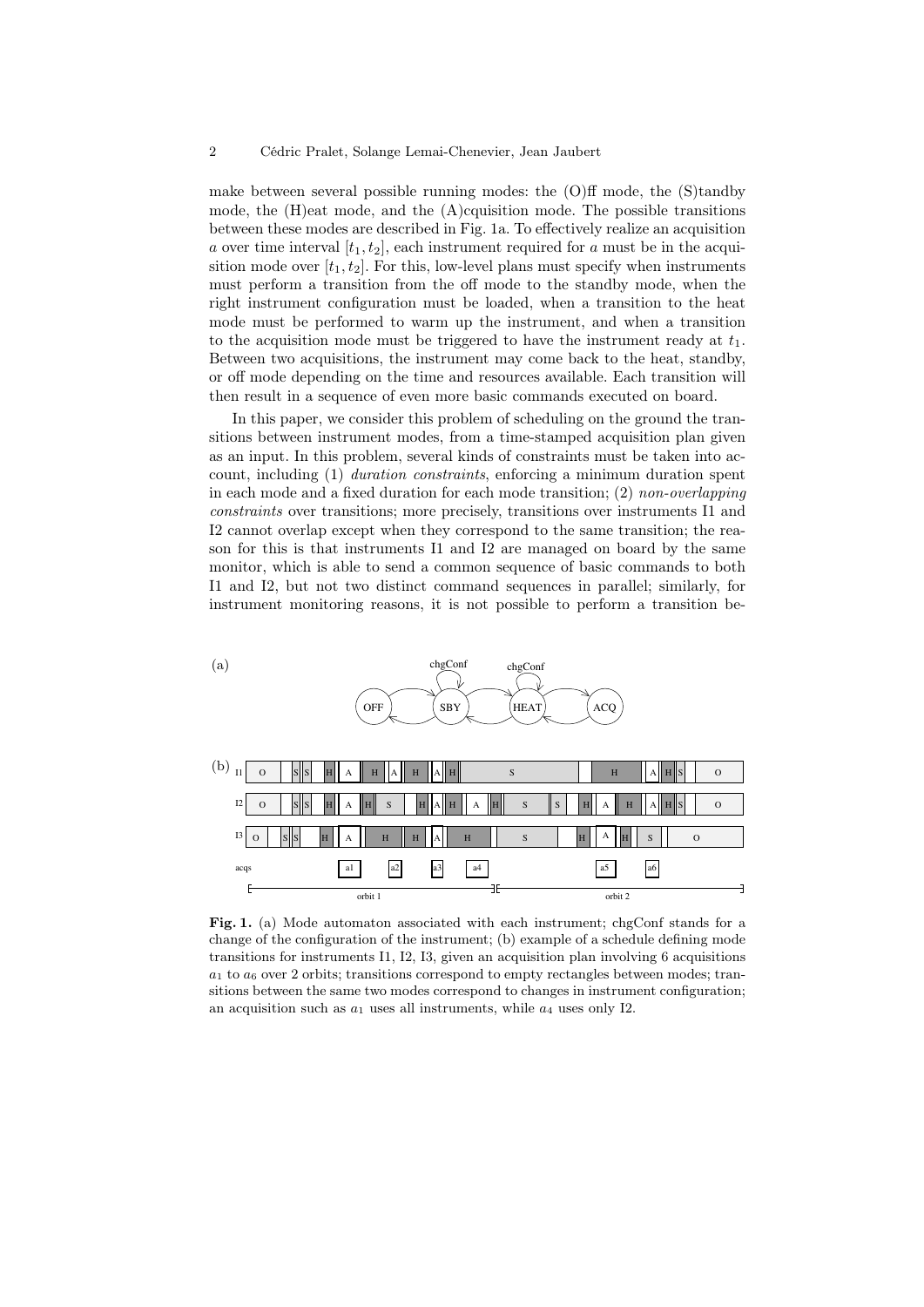make between several possible running modes: the  $(O)f$  mode, the  $(S)$ tandby mode, the (H)eat mode, and the (A)cquisition mode. The possible transitions between these modes are described in Fig. 1a. To effectively realize an acquisition a over time interval  $[t_1, t_2]$ , each instrument required for a must be in the acquisition mode over  $[t_1, t_2]$ . For this, low-level plans must specify when instruments must perform a transition from the off mode to the standby mode, when the right instrument configuration must be loaded, when a transition to the heat mode must be performed to warm up the instrument, and when a transition to the acquisition mode must be triggered to have the instrument ready at  $t_1$ . Between two acquisitions, the instrument may come back to the heat, standby, or off mode depending on the time and resources available. Each transition will then result in a sequence of even more basic commands executed on board.

In this paper, we consider this problem of scheduling on the ground the transitions between instrument modes, from a time-stamped acquisition plan given as an input. In this problem, several kinds of constraints must be taken into account, including (1) duration constraints, enforcing a minimum duration spent in each mode and a fixed duration for each mode transition;  $(2)$  non-overlapping constraints over transitions; more precisely, transitions over instruments I1 and I2 cannot overlap except when they correspond to the same transition; the reason for this is that instruments I1 and I2 are managed on board by the same monitor, which is able to send a common sequence of basic commands to both I1 and I2, but not two distinct command sequences in parallel; similarly, for instrument monitoring reasons, it is not possible to perform a transition be-



Fig. 1. (a) Mode automaton associated with each instrument; chgConf stands for a change of the configuration of the instrument; (b) example of a schedule defining mode transitions for instruments I1, I2, I3, given an acquisition plan involving 6 acquisitions  $a_1$  to  $a_6$  over 2 orbits; transitions correspond to empty rectangles between modes; transitions between the same two modes correspond to changes in instrument configuration; an acquisition such as  $a_1$  uses all instruments, while  $a_4$  uses only I2.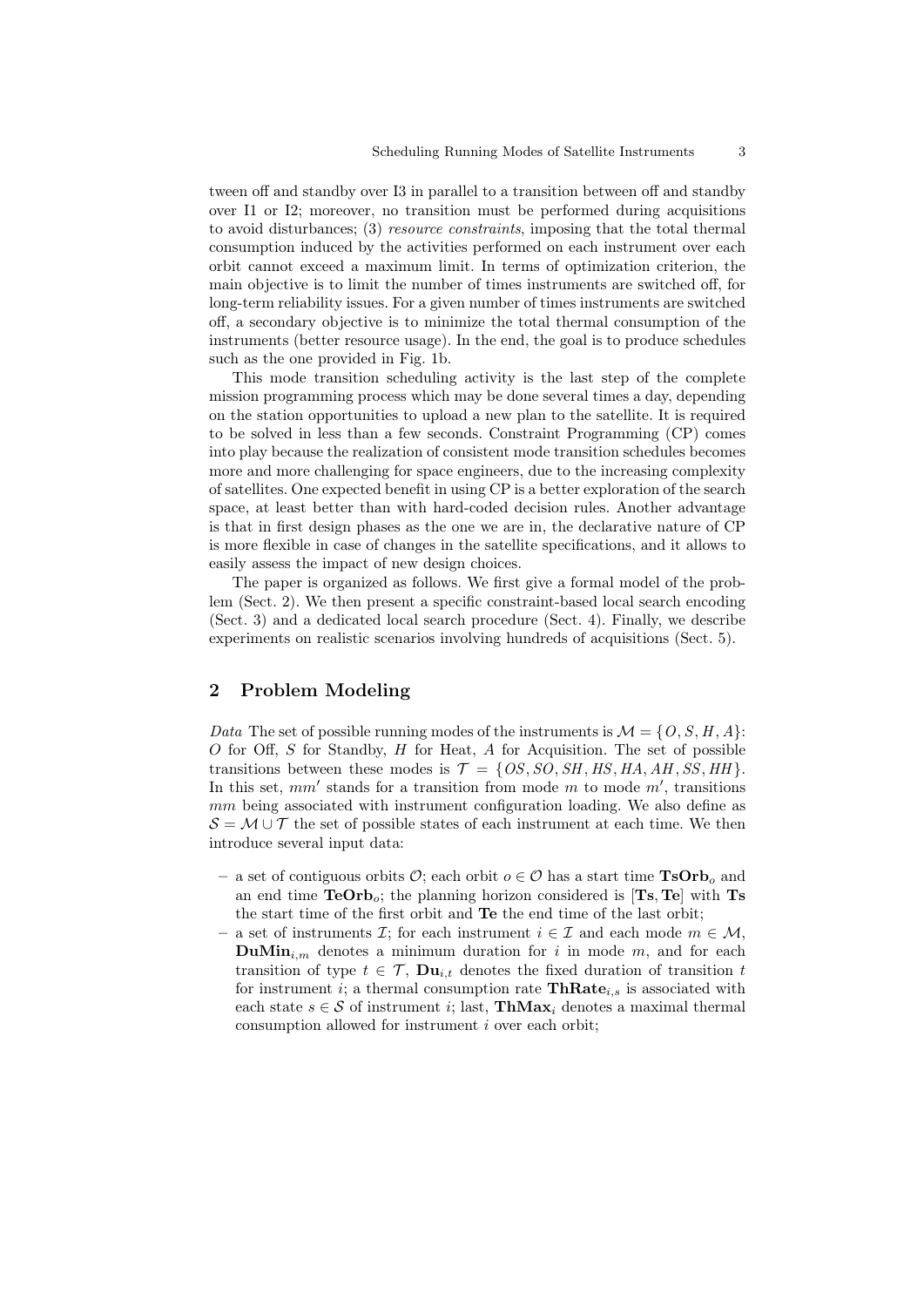tween off and standby over I3 in parallel to a transition between off and standby over I1 or I2; moreover, no transition must be performed during acquisitions to avoid disturbances; (3) resource constraints, imposing that the total thermal consumption induced by the activities performed on each instrument over each orbit cannot exceed a maximum limit. In terms of optimization criterion, the main objective is to limit the number of times instruments are switched off, for long-term reliability issues. For a given number of times instruments are switched off, a secondary objective is to minimize the total thermal consumption of the instruments (better resource usage). In the end, the goal is to produce schedules such as the one provided in Fig. 1b.

This mode transition scheduling activity is the last step of the complete mission programming process which may be done several times a day, depending on the station opportunities to upload a new plan to the satellite. It is required to be solved in less than a few seconds. Constraint Programming (CP) comes into play because the realization of consistent mode transition schedules becomes more and more challenging for space engineers, due to the increasing complexity of satellites. One expected benefit in using CP is a better exploration of the search space, at least better than with hard-coded decision rules. Another advantage is that in first design phases as the one we are in, the declarative nature of CP is more flexible in case of changes in the satellite specifications, and it allows to easily assess the impact of new design choices.

The paper is organized as follows. We first give a formal model of the problem (Sect. 2). We then present a specific constraint-based local search encoding (Sect. 3) and a dedicated local search procedure (Sect. 4). Finally, we describe experiments on realistic scenarios involving hundreds of acquisitions (Sect. 5).

# 2 Problem Modeling

Data The set of possible running modes of the instruments is  $\mathcal{M} = \{O, S, H, A\}$ :  $O$  for Off,  $S$  for Standby,  $H$  for Heat,  $A$  for Acquisition. The set of possible transitions between these modes is  $\mathcal{T} = \{OS, SO, SH, HS, HA, AH, SS, HH\}.$ In this set,  $mm'$  stands for a transition from mode m to mode  $m'$ , transitions mm being associated with instrument configuration loading. We also define as  $S = \mathcal{M} \cup \mathcal{T}$  the set of possible states of each instrument at each time. We then introduce several input data:

- a set of contiguous orbits  $\mathcal{O}$ ; each orbit  $o \in \mathcal{O}$  has a start time  $\text{TsOrb}_o$  and an end time  $TeOrb<sub>o</sub>$ ; the planning horizon considered is [Ts, Te] with Ts the start time of the first orbit and Te the end time of the last orbit;
- a set of instruments *I*; for each instrument *i* ∈ *I* and each mode  $m \in M$ ,  $\text{DuMin}_{i,m}$  denotes a minimum duration for i in mode m, and for each transition of type  $t \in \mathcal{T}$ ,  $\mathbf{D} \mathbf{u}_{i,t}$  denotes the fixed duration of transition t for instrument i; a thermal consumption rate  $\text{ThRate}_{i,s}$  is associated with each state  $s \in \mathcal{S}$  of instrument *i*; last, **ThMax**<sub>*i*</sub> denotes a maximal thermal consumption allowed for instrument i over each orbit;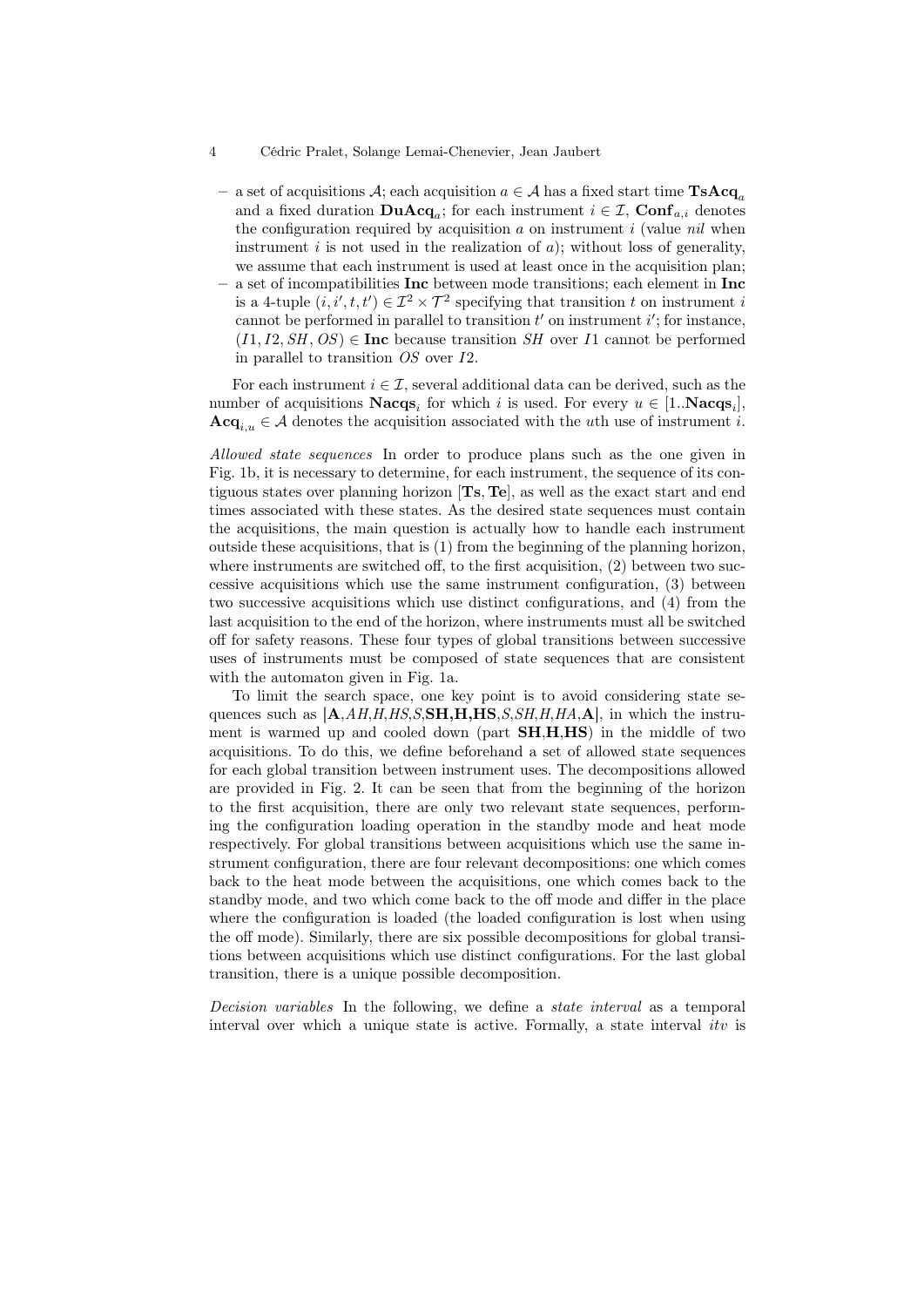- 4 Cédric Pralet, Solange Lemai-Chenevier, Jean Jaubert
	- a set of acquisitions  $\mathcal{A}$ ; each acquisition  $a \in \mathcal{A}$  has a fixed start time **TsAcq**<sub>a</sub> and a fixed duration  $\text{DuAcq}_{a}$ ; for each instrument  $i \in \mathcal{I}$ ,  $\text{Conf}_{a,i}$  denotes the configuration required by acquisition  $a$  on instrument i (value nil when instrument  $i$  is not used in the realization of  $a$ ); without loss of generality, we assume that each instrument is used at least once in the acquisition plan:
	- $-$  a set of incompatibilities Inc between mode transitions; each element in Inc is a 4-tuple  $(i, i', t, t') \in \mathcal{I}^2 \times \mathcal{T}^2$  specifying that transition t on instrument i cannot be performed in parallel to transition  $t'$  on instrument  $i'$ ; for instance,  $(I1, I2, SH, OS) \in$  Inc because transition *SH* over I1 cannot be performed in parallel to transition OS over I2.

For each instrument  $i \in \mathcal{I}$ , several additional data can be derived, such as the number of acquisitions  $\mathbf{Nacqs}_i$  for which i is used. For every  $u \in [1..\mathbf{Nacqs}_i]$ ,  $\mathbf{Acq}_{i,u} \in \mathcal{A}$  denotes the acquisition associated with the uth use of instrument i.

Allowed state sequences In order to produce plans such as the one given in Fig. 1b, it is necessary to determine, for each instrument, the sequence of its contiguous states over planning horizon  $[Ts, Te]$ , as well as the exact start and end times associated with these states. As the desired state sequences must contain the acquisitions, the main question is actually how to handle each instrument outside these acquisitions, that is (1) from the beginning of the planning horizon, where instruments are switched off, to the first acquisition, (2) between two successive acquisitions which use the same instrument configuration, (3) between two successive acquisitions which use distinct configurations, and (4) from the last acquisition to the end of the horizon, where instruments must all be switched off for safety reasons. These four types of global transitions between successive uses of instruments must be composed of state sequences that are consistent with the automaton given in Fig. 1a.

To limit the search space, one key point is to avoid considering state sequences such as  $[A, AH, H, HS, S, SH, H, HA, A]$ , in which the instrument is warmed up and cooled down (part SH,H,HS) in the middle of two acquisitions. To do this, we define beforehand a set of allowed state sequences for each global transition between instrument uses. The decompositions allowed are provided in Fig. 2. It can be seen that from the beginning of the horizon to the first acquisition, there are only two relevant state sequences, performing the configuration loading operation in the standby mode and heat mode respectively. For global transitions between acquisitions which use the same instrument configuration, there are four relevant decompositions: one which comes back to the heat mode between the acquisitions, one which comes back to the standby mode, and two which come back to the off mode and differ in the place where the configuration is loaded (the loaded configuration is lost when using the off mode). Similarly, there are six possible decompositions for global transitions between acquisitions which use distinct configurations. For the last global transition, there is a unique possible decomposition.

Decision variables In the following, we define a state interval as a temporal interval over which a unique state is active. Formally, a state interval itv is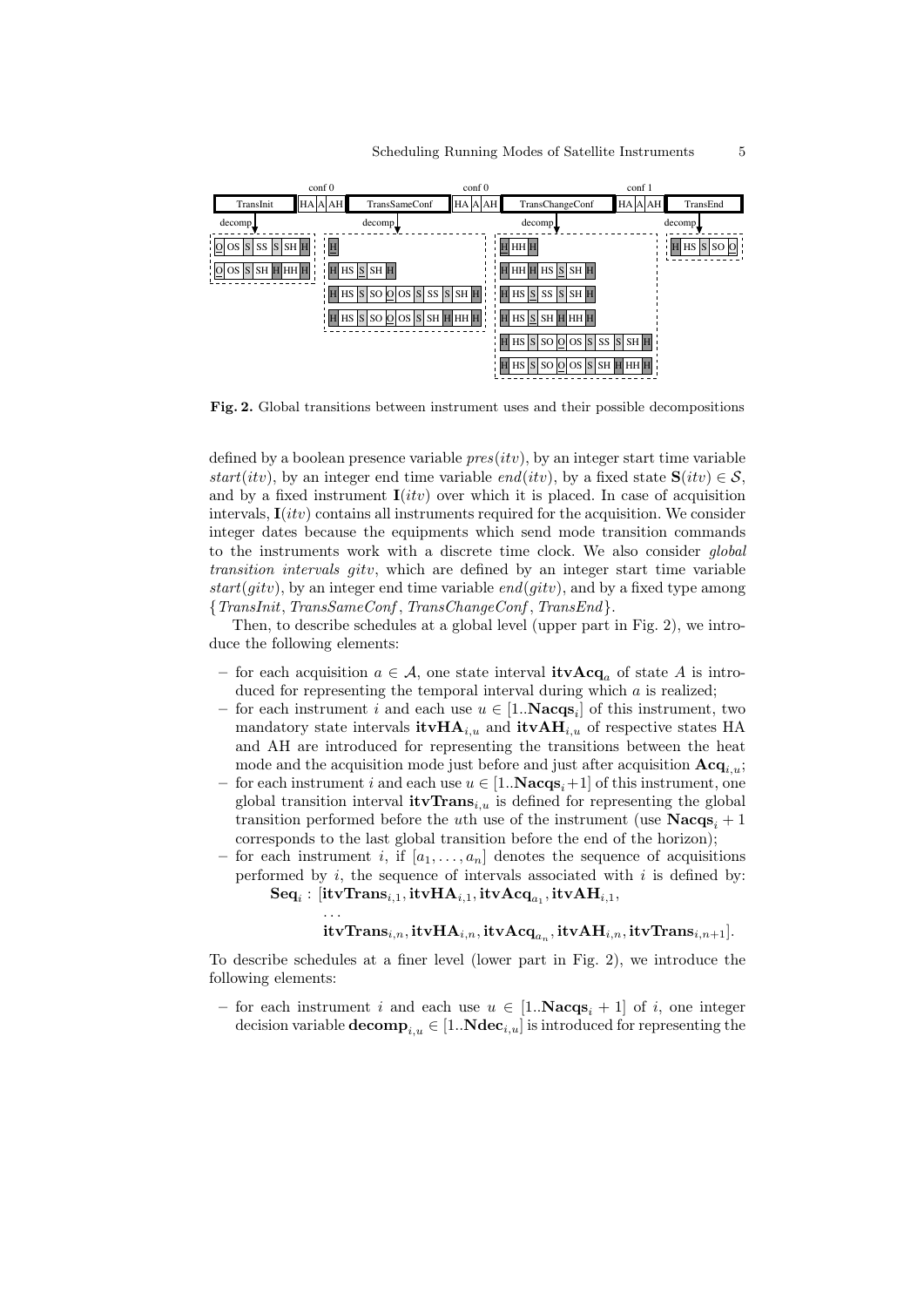

Fig. 2. Global transitions between instrument uses and their possible decompositions

defined by a boolean presence variable  $pres(itv)$ , by an integer start time variable start(itv), by an integer end time variable end(itv), by a fixed state  $S(itv) \in S$ , and by a fixed instrument  $\mathbf{I}(itv)$  over which it is placed. In case of acquisition intervals,  $\mathbf{I}(itv)$  contains all instruments required for the acquisition. We consider integer dates because the equipments which send mode transition commands to the instruments work with a discrete time clock. We also consider global transition intervals gitv, which are defined by an integer start time variable  $start(gitv)$ , by an integer end time variable  $end(gitv)$ , and by a fixed type among {TransInit, TransSameConf , TransChangeConf , TransEnd}.

Then, to describe schedules at a global level (upper part in Fig. 2), we introduce the following elements:

- for each acquisition  $a \in \mathcal{A}$ , one state interval **itvAcq**<sub>a</sub> of state A is introduced for representing the temporal interval during which a is realized;
- for each instrument i and each use  $u \in [1..\textbf{Nacqs}_i]$  of this instrument, two mandatory state intervals **itv** $HA_{i,u}$  and **itv** $AH_{i,u}$  of respective states HA and AH are introduced for representing the transitions between the heat mode and the acquisition mode just before and just after acquisition  $\text{Acq}_{i,u}$ ;
- for each instrument i and each use  $u \in [1..\textbf{Nacqs}_{i}+1]$  of this instrument, one global transition interval **itvTrans**<sub>i,u</sub> is defined for representing the global transition performed before the uth use of the instrument (use  $\textbf{Nacqs}_{i} + 1$ corresponds to the last global transition before the end of the horizon);
- for each instrument i, if  $[a_1, \ldots, a_n]$  denotes the sequence of acquisitions performed by  $i$ , the sequence of intervals associated with  $i$  is defined by:  $\textbf{Seq}_i: [\textbf{itvTrans}_{i,1}, \textbf{itvHA}_{i,1}, \textbf{itvAcq}_{a_1}, \textbf{itvAH}_{i,1},$

 $\textnormal{\textbf{itvTrans}}_{i,n}, \textnormal{\textbf{itvHA}}_{i,n}, \textnormal{\textbf{itvA}}\textnormal{\textbf{c}}_{\textbf{q}_n}, \textnormal{\textbf{itvAH}}_{i,n}, \textnormal{\textbf{itvTrans}}_{i,n+1}].$ 

To describe schedules at a finer level (lower part in Fig. 2), we introduce the following elements:

. . .

– for each instrument i and each use  $u \in [1..\textbf{Nacqs}_i + 1]$  of i, one integer decision variable  $\mathbf{decomp}_{i,u} \in [1..\mathbf{Ndec}_{i,u}]$  is introduced for representing the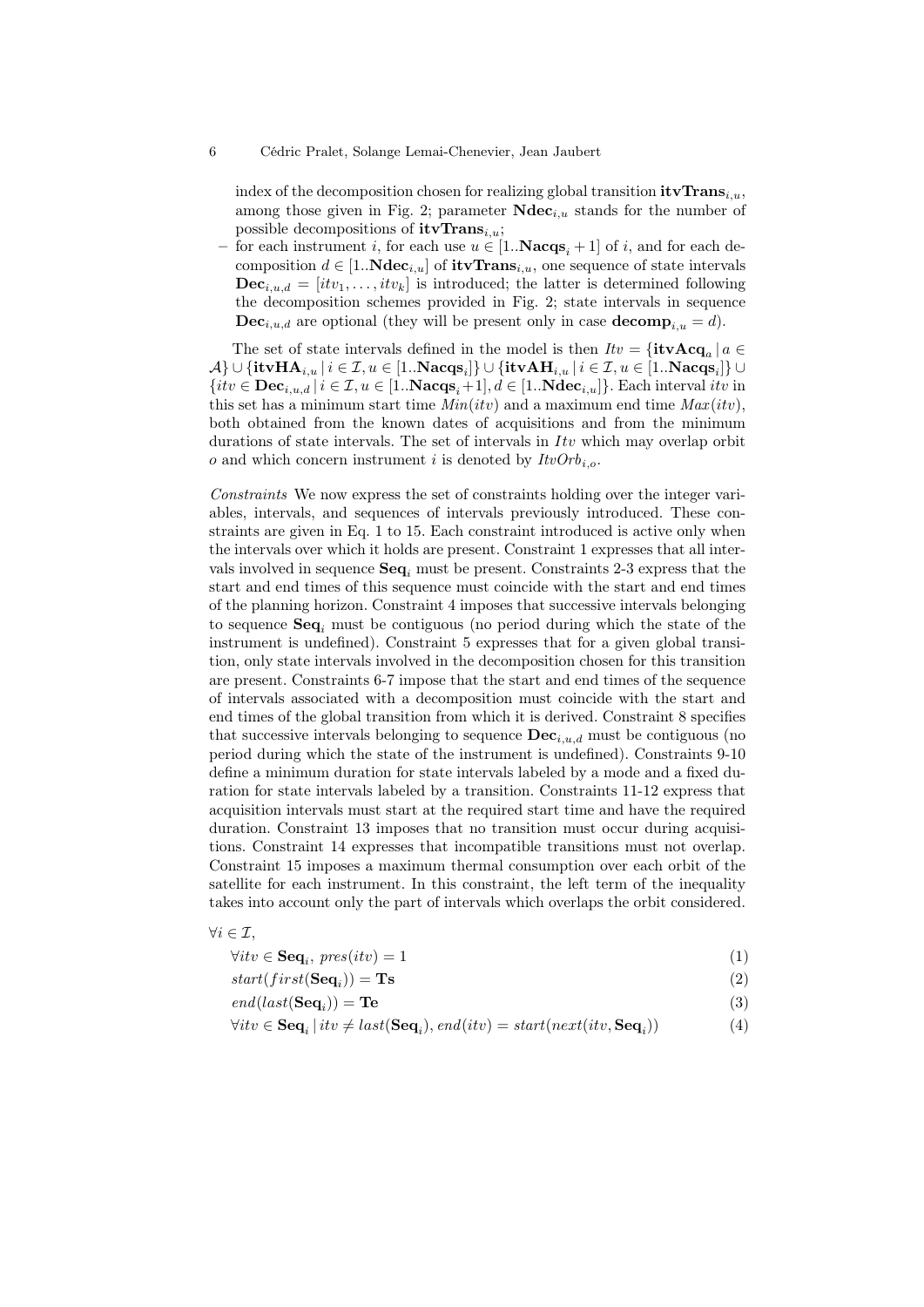index of the decomposition chosen for realizing global transition  $\mathbf{itvTrans}_{i,u}$ , among those given in Fig. 2; parameter  $\mathbf{Ndec}_{i,u}$  stands for the number of possible decompositions of  $itvTrans<sub>i,u</sub>;$ 

– for each instrument i, for each use  $u \in [1..\textbf{Nacqs}_{i} + 1]$  of i, and for each decomposition  $d \in [1..\textbf{Ndec}_{i,u}]$  of **itvTrans**<sub>i,u</sub>, one sequence of state intervals  $\mathbf{Dec}_{i,u,d} = [itv_1,\ldots,itv_k]$  is introduced; the latter is determined following the decomposition schemes provided in Fig. 2; state intervals in sequence  $\text{Dec}_{i,u,d}$  are optional (they will be present only in case  $\text{decomp}_{i,u} = d$ ).

The set of state intervals defined in the model is then  $Itv = {\bf{itvAcq}}_a | a \in$  $\mathcal{A}\}\cup \{\mathbf{itvHA}_{i,u}\,|\,i\in\mathcal{I},u\in[1..\mathbf{Nacqs}_i]\}\cup \{\mathbf{itvAH}_{i,u}\,|\,i\in\mathcal{I},u\in[1..\mathbf{Nacqs}_i]\}\,\cup$  $\{it \in \textbf{Dec}_{i,u,d} \mid i \in \mathcal{I}, u \in [1..\textbf{Nacqs},+1], d \in [1..\textbf{Ndec}_{i,u}]\}.$  Each interval ity in this set has a minimum start time  $Min(itv)$  and a maximum end time  $Max(itv)$ , both obtained from the known dates of acquisitions and from the minimum durations of state intervals. The set of intervals in Itv which may overlap orbit o and which concern instrument i is denoted by  $ItvOrb_{i,o}$ .

Constraints We now express the set of constraints holding over the integer variables, intervals, and sequences of intervals previously introduced. These constraints are given in Eq. 1 to 15. Each constraint introduced is active only when the intervals over which it holds are present. Constraint 1 expresses that all intervals involved in sequence  $\mathbf{Seq}_i$  must be present. Constraints 2-3 express that the start and end times of this sequence must coincide with the start and end times of the planning horizon. Constraint 4 imposes that successive intervals belonging to sequence  $\mathbf{Seq}_i$  must be contiguous (no period during which the state of the instrument is undefined). Constraint 5 expresses that for a given global transition, only state intervals involved in the decomposition chosen for this transition are present. Constraints 6-7 impose that the start and end times of the sequence of intervals associated with a decomposition must coincide with the start and end times of the global transition from which it is derived. Constraint 8 specifies that successive intervals belonging to sequence  $\mathbf{Dec}_{i,u,d}$  must be contiguous (no period during which the state of the instrument is undefined). Constraints 9-10 define a minimum duration for state intervals labeled by a mode and a fixed duration for state intervals labeled by a transition. Constraints 11-12 express that acquisition intervals must start at the required start time and have the required duration. Constraint 13 imposes that no transition must occur during acquisitions. Constraint 14 expresses that incompatible transitions must not overlap. Constraint 15 imposes a maximum thermal consumption over each orbit of the satellite for each instrument. In this constraint, the left term of the inequality takes into account only the part of intervals which overlaps the orbit considered.

$$
\forall i\in\mathcal{I},
$$

$$
\forall itv \in \mathbf{Seq}_i, \, pres(itv) = 1 \tag{1}
$$

$$
start(first(\mathbf{Seq}_i)) = \mathbf{Ts}
$$
\n(2)

$$
end(last(\mathbf{Seq}_i)) = \mathbf{Te}
$$
\n(3)\n(1) 
$$
G = \begin{pmatrix} 1 & 1 \\ 1 & 1 \end{pmatrix} \begin{pmatrix} 1 & 1 \\ 1 & 1 \end{pmatrix} \begin{pmatrix} 1 & 1 \\ 1 & 1 \end{pmatrix} \begin{pmatrix} 1 & 1 \\ 1 & 1 \end{pmatrix} \begin{pmatrix} 1 & 1 \\ 1 & 1 \end{pmatrix} \begin{pmatrix} 1 & 1 \\ 1 & 1 \end{pmatrix} \begin{pmatrix} 1 & 1 \\ 1 & 1 \end{pmatrix} \begin{pmatrix} 1 & 1 \\ 1 & 1 \end{pmatrix} \begin{pmatrix} 1 & 1 \\ 1 & 1 \end{pmatrix} \begin{pmatrix} 1 & 1 \\ 1 & 1 \end{pmatrix} \begin{pmatrix} 1 & 1 \\ 1 & 1 \end{pmatrix} \begin{pmatrix} 1 & 1 \\ 1 & 1 \end{pmatrix} \begin{pmatrix} 1 & 1 \\ 1 & 1 \end{pmatrix} \begin{pmatrix} 1 & 1 \\ 1 & 1 \end{pmatrix} \begin{pmatrix} 1 & 1 \\ 1 & 1 \end{pmatrix} \begin{pmatrix} 1 & 1 \\ 1 & 1 \end{pmatrix} \begin{pmatrix} 1 & 1 \\ 1 & 1 \end{pmatrix} \begin{pmatrix} 1 & 1 \\ 1 & 1 \end{pmatrix} \begin{pmatrix} 1 & 1 \\ 1 & 1 \end{pmatrix} \begin{pmatrix} 1 & 1 \\ 1 & 1 \end{pmatrix} \begin{pmatrix} 1 & 1 \\ 1 & 1 \end{pmatrix} \begin{pmatrix} 1 & 1 \\ 1 & 1 \end{pmatrix} \begin{pmatrix} 1 & 1 \\ 1 & 1 \end{pmatrix} \begin{pmatrix} 1 & 1 \\ 1 & 1 \end{pmatrix} \begin{pmatrix} 1 & 1 \\ 1 & 1 \end{pmatrix} \begin{pmatrix} 1 & 1 \\ 1 & 1 \end{pmatrix} \begin{pmatrix} 1 & 1 \\ 1 & 1 \end{pmatrix} \begin{pmatrix} 1 & 1 \\ 1 & 1 \end{pmatrix} \begin{pmatrix} 1 & 1 \\ 1 & 1 \end{pmatrix} \begin{pmatrix} 1 & 1 \\ 1 & 1 \end{pmatrix} \begin{pmatrix} 1 & 1 \\ 1 & 1 \end{pmatrix} \begin{pmatrix} 1 &
$$

$$
\forall itv \in \mathbf{Seq}_i \,|\, itv \neq last(\mathbf{Seq}_i), end(itv) = start(next(itv, \mathbf{Seq}_i))\tag{4}
$$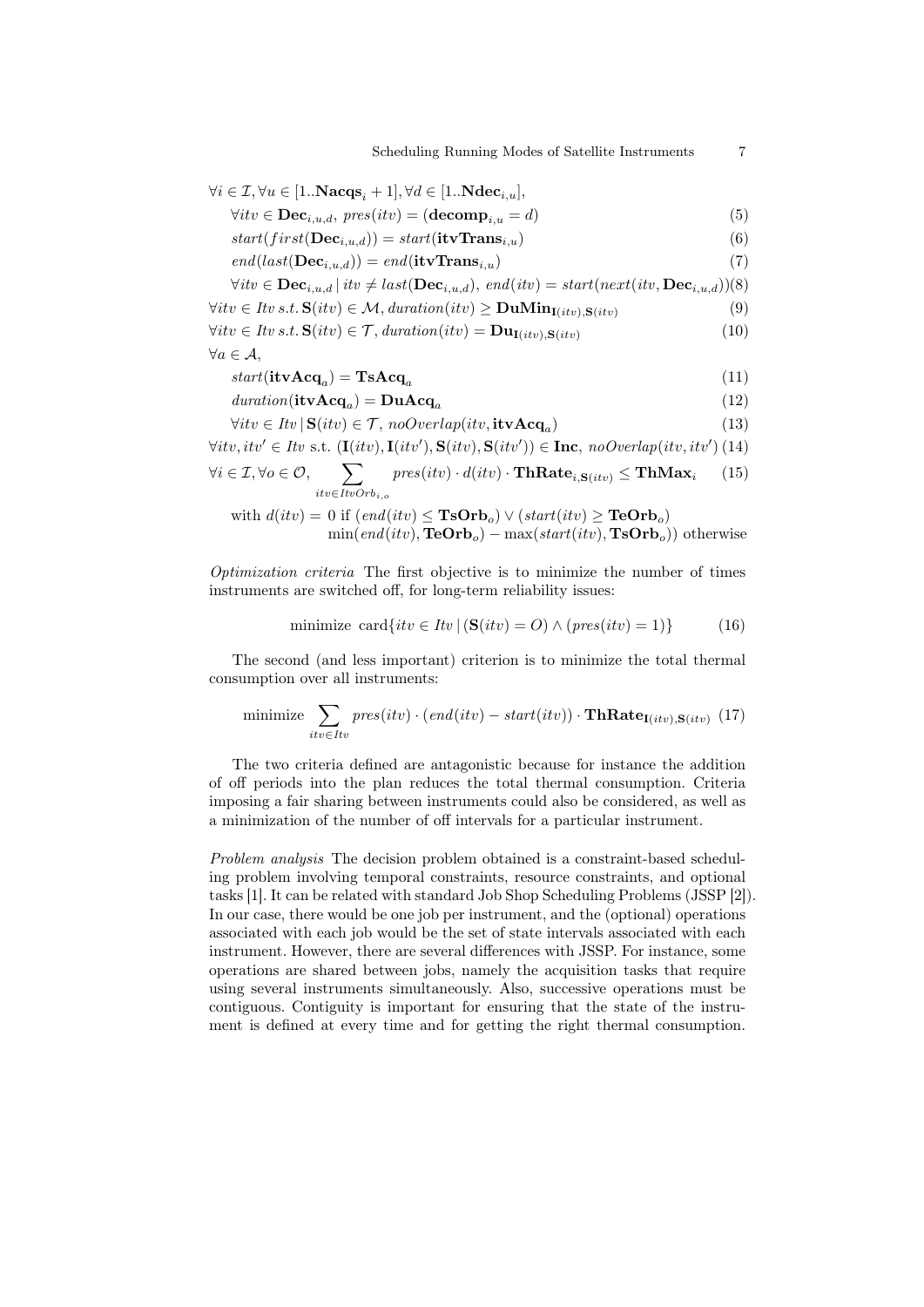$$
\forall i \in \mathcal{I}, \forall u \in [1..\mathbf{Nacqs}_i + 1], \forall d \in [1..\mathbf{Ndec}_{i,u}],
$$
  
\n
$$
\forall itv \in \mathbf{Dec}_{i,u,d}, \, pres(itv) = (\mathbf{decomp}_{i,u} = d)
$$
  
\n
$$
start(first(\mathbf{Dec}_{i,u,d})) = start(\mathbf{itvTrans}_{i,u})
$$
  
\n
$$
end(last(\mathbf{Dec}_{i,u,d})) = end(\mathbf{itvTrans}_{i,u})
$$
  
\n(7)

$$
\forall itv \in \mathbf{Dec}_{i,u,d} \mid itv \neq last(\mathbf{Dec}_{i,u,d}), end(itv) = start(next(itv, \mathbf{Dec}_{i,u,d}))
$$

$$
\forall itv \in Itv \, s.t. \, \mathbf{S}(itv) \in \mathcal{M}, \, \text{duration}(itv) \ge \mathbf{DuMin}_{\mathbf{I}(itv), \mathbf{S}(itv)} \tag{9}
$$

$$
\forall itv \in Itv \, s.t. \, \mathbf{S}(itv) \in \mathcal{T}, \, \mathit{duration}(itv) = \mathbf{D} \mathbf{u}_{\mathbf{I}(itv), \mathbf{S}(itv)} \tag{10}
$$

 $\forall a \in \mathcal{A},$ 

$$
start(\mathbf{itvAcq}_a) = \mathbf{TsAcq}_a \tag{11}
$$

$$
duration(\mathbf{itvAcq}_a) = \mathbf{DuAcq}_a \tag{12}
$$

$$
\forall itv \in Itv \,|\, \mathbf{S}(itv) \in \mathcal{T},\, no Overlap(itv, itv \mathbf{Acq}_a) \tag{13}
$$

$$
\forall itv, itv' \in Itv \text{ s.t. } (\mathbf{I}(itv), \mathbf{I}(itv'), \mathbf{S}(itv), \mathbf{S}(itv')) \in \text{Inc}, \; no \, Overlap(itv, itv') \, (14)
$$

$$
\forall i \in \mathcal{I}, \forall o \in \mathcal{O}, \sum_{itv \in ItvOrb_{i,o}} pres(itv) \cdot d(itv) \cdot \mathbf{ThRate}_{i, \mathbf{S}(itv)} \leq \mathbf{ThMax}_{i} \qquad (15)
$$

with  $d(itv) = 0$  if  $(\text{end}(itv) \leq \text{TsOrb}_o) \vee (\text{start}(itv) \geq \text{TeOrb}_o)$  $\min(\text{end}(itv), \text{TeOrb}_{o}) - \max(\text{start}(itv), \text{TsOrb}_{o})$  otherwise

Optimization criteria The first objective is to minimize the number of times instruments are switched off, for long-term reliability issues:

minimize 
$$
\text{card}\{iv \in Itv \mid (\mathbf{S}(itv) = O) \land (pres(itv) = 1)\}
$$
 (16)

The second (and less important) criterion is to minimize the total thermal consumption over all instruments:

minimize 
$$
\sum_{itv \in Itv} pres(itv) \cdot (end(itv) - start(itv)) \cdot \mathbf{ThRate}_{\mathbf{I}(itv), \mathbf{S}(itv)} \tag{17}
$$

The two criteria defined are antagonistic because for instance the addition of off periods into the plan reduces the total thermal consumption. Criteria imposing a fair sharing between instruments could also be considered, as well as a minimization of the number of off intervals for a particular instrument.

Problem analysis The decision problem obtained is a constraint-based scheduling problem involving temporal constraints, resource constraints, and optional tasks [1]. It can be related with standard Job Shop Scheduling Problems (JSSP [2]). In our case, there would be one job per instrument, and the (optional) operations associated with each job would be the set of state intervals associated with each instrument. However, there are several differences with JSSP. For instance, some operations are shared between jobs, namely the acquisition tasks that require using several instruments simultaneously. Also, successive operations must be contiguous. Contiguity is important for ensuring that the state of the instrument is defined at every time and for getting the right thermal consumption.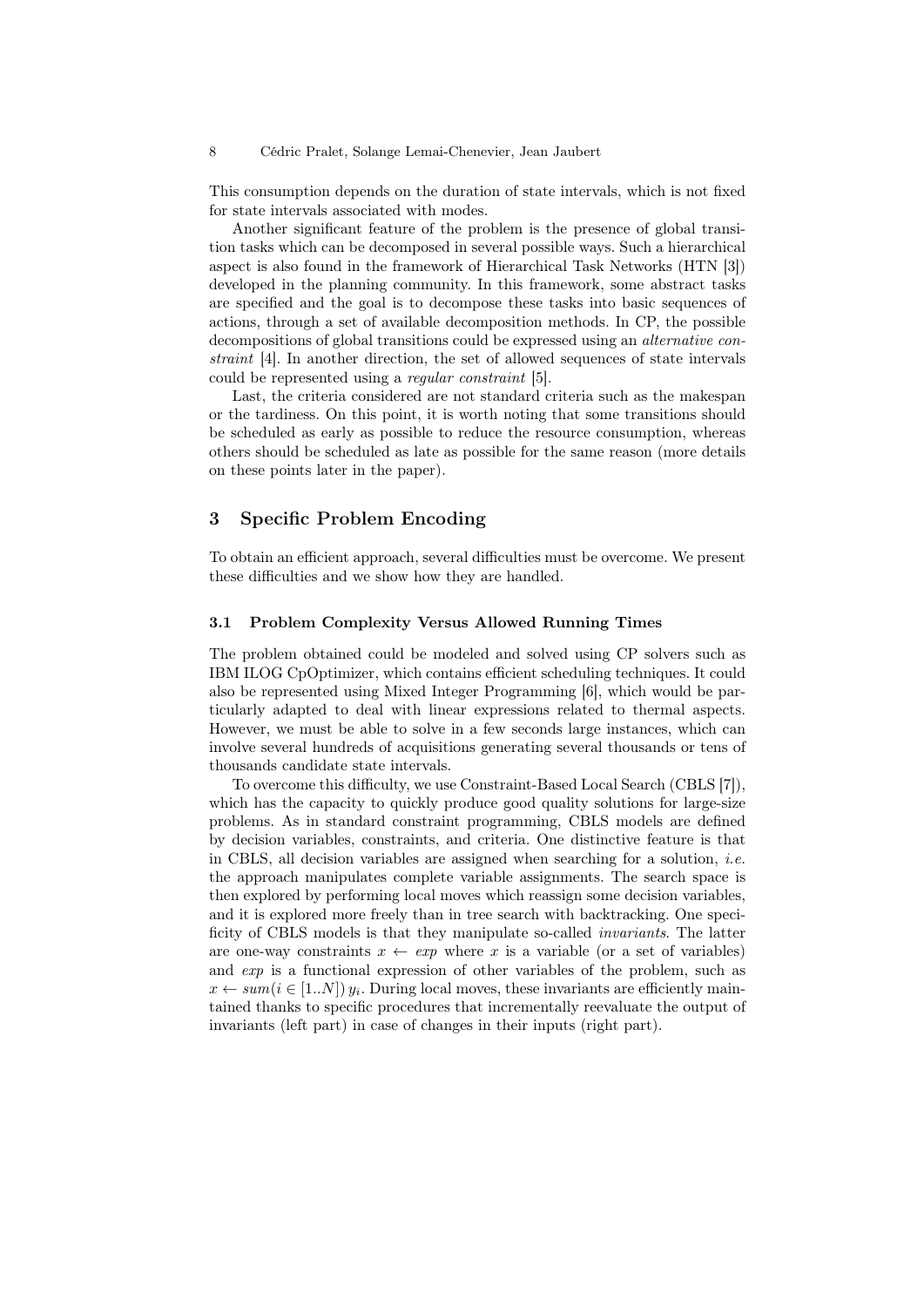This consumption depends on the duration of state intervals, which is not fixed for state intervals associated with modes.

Another significant feature of the problem is the presence of global transition tasks which can be decomposed in several possible ways. Such a hierarchical aspect is also found in the framework of Hierarchical Task Networks (HTN [3]) developed in the planning community. In this framework, some abstract tasks are specified and the goal is to decompose these tasks into basic sequences of actions, through a set of available decomposition methods. In CP, the possible decompositions of global transitions could be expressed using an alternative constraint [4]. In another direction, the set of allowed sequences of state intervals could be represented using a regular constraint [5].

Last, the criteria considered are not standard criteria such as the makespan or the tardiness. On this point, it is worth noting that some transitions should be scheduled as early as possible to reduce the resource consumption, whereas others should be scheduled as late as possible for the same reason (more details on these points later in the paper).

## 3 Specific Problem Encoding

To obtain an efficient approach, several difficulties must be overcome. We present these difficulties and we show how they are handled.

#### 3.1 Problem Complexity Versus Allowed Running Times

The problem obtained could be modeled and solved using CP solvers such as IBM ILOG CpOptimizer, which contains efficient scheduling techniques. It could also be represented using Mixed Integer Programming [6], which would be particularly adapted to deal with linear expressions related to thermal aspects. However, we must be able to solve in a few seconds large instances, which can involve several hundreds of acquisitions generating several thousands or tens of thousands candidate state intervals.

To overcome this difficulty, we use Constraint-Based Local Search (CBLS [7]), which has the capacity to quickly produce good quality solutions for large-size problems. As in standard constraint programming, CBLS models are defined by decision variables, constraints, and criteria. One distinctive feature is that in CBLS, all decision variables are assigned when searching for a solution, *i.e.* the approach manipulates complete variable assignments. The search space is then explored by performing local moves which reassign some decision variables, and it is explored more freely than in tree search with backtracking. One specificity of CBLS models is that they manipulate so-called invariants. The latter are one-way constraints  $x \leftarrow exp$  where x is a variable (or a set of variables) and exp is a functional expression of other variables of the problem, such as  $x \leftarrow sum(i \in [1..N]) y_i$ . During local moves, these invariants are efficiently maintained thanks to specific procedures that incrementally reevaluate the output of invariants (left part) in case of changes in their inputs (right part).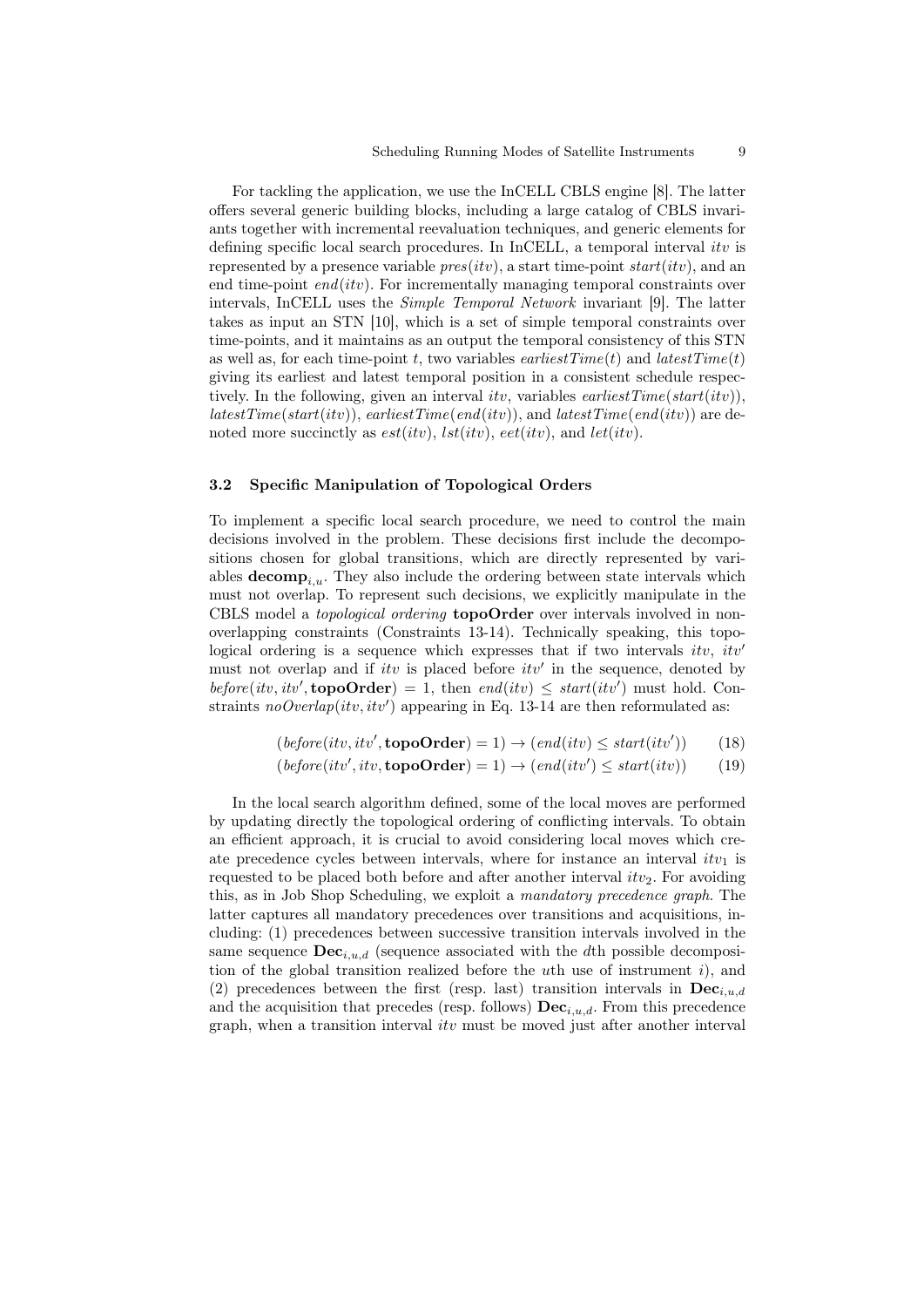For tackling the application, we use the InCELL CBLS engine [8]. The latter offers several generic building blocks, including a large catalog of CBLS invariants together with incremental reevaluation techniques, and generic elements for defining specific local search procedures. In InCELL, a temporal interval itv is represented by a presence variable  $pres(itv)$ , a start time-point  $start(itv)$ , and an end time-point  $end(itv)$ . For incrementally managing temporal constraints over intervals, InCELL uses the Simple Temporal Network invariant [9]. The latter takes as input an STN [10], which is a set of simple temporal constraints over time-points, and it maintains as an output the temporal consistency of this STN as well as, for each time-point t, two variables  $earliestTime(t)$  and  $lastTime(t)$ giving its earliest and latest temporal position in a consistent schedule respectively. In the following, given an interval *itv*, variables  $earliestTime(start(itv)),$  $latestTime(start(itv))$ , earliest  $Time(end(itv))$ , and  $latestTime(end(itv))$  are denoted more succinctly as  $est(itv)$ ,  $lst(itv)$ ,  $eet(itv)$ , and  $let(itv)$ .

## 3.2 Specific Manipulation of Topological Orders

To implement a specific local search procedure, we need to control the main decisions involved in the problem. These decisions first include the decompositions chosen for global transitions, which are directly represented by variables  $\mathbf{decomp}_{i,u}$ . They also include the ordering between state intervals which must not overlap. To represent such decisions, we explicitly manipulate in the CBLS model a *topological ordering* **topoOrder** over intervals involved in nonoverlapping constraints (Constraints 13-14). Technically speaking, this topological ordering is a sequence which expresses that if two intervals *itv*,  $itv'$ must not overlap and if *itv* is placed before  $itv'$  in the sequence, denoted by before(itv, itv', topoOrder) = 1, then end(itv)  $\leq$  start(itv') must hold. Constraints  $noOverlap(itv, itv')$  appearing in Eq. 13-14 are then reformulated as:

$$
(before(itv, itv', \mathbf{topoOrder}) = 1) \rightarrow (end(itv) \le start(itv'))
$$
 (18)

$$
(before(itv', itv, \mathbf{topoOrder}) = 1) \rightarrow (end(itv') \le start(itv))
$$
 (19)

In the local search algorithm defined, some of the local moves are performed by updating directly the topological ordering of conflicting intervals. To obtain an efficient approach, it is crucial to avoid considering local moves which create precedence cycles between intervals, where for instance an interval  $itv_1$  is requested to be placed both before and after another interval  $itv<sub>2</sub>$ . For avoiding this, as in Job Shop Scheduling, we exploit a mandatory precedence graph. The latter captures all mandatory precedences over transitions and acquisitions, including: (1) precedences between successive transition intervals involved in the same sequence  $\mathbf{Dec}_{i,u,d}$  (sequence associated with the dth possible decomposition of the global transition realized before the uth use of instrument  $i$ , and (2) precedences between the first (resp. last) transition intervals in  $\text{Dec}_{i,u,d}$ and the acquisition that precedes (resp. follows)  $\mathbf{Dec}_{i,u,d}$ . From this precedence graph, when a transition interval itv must be moved just after another interval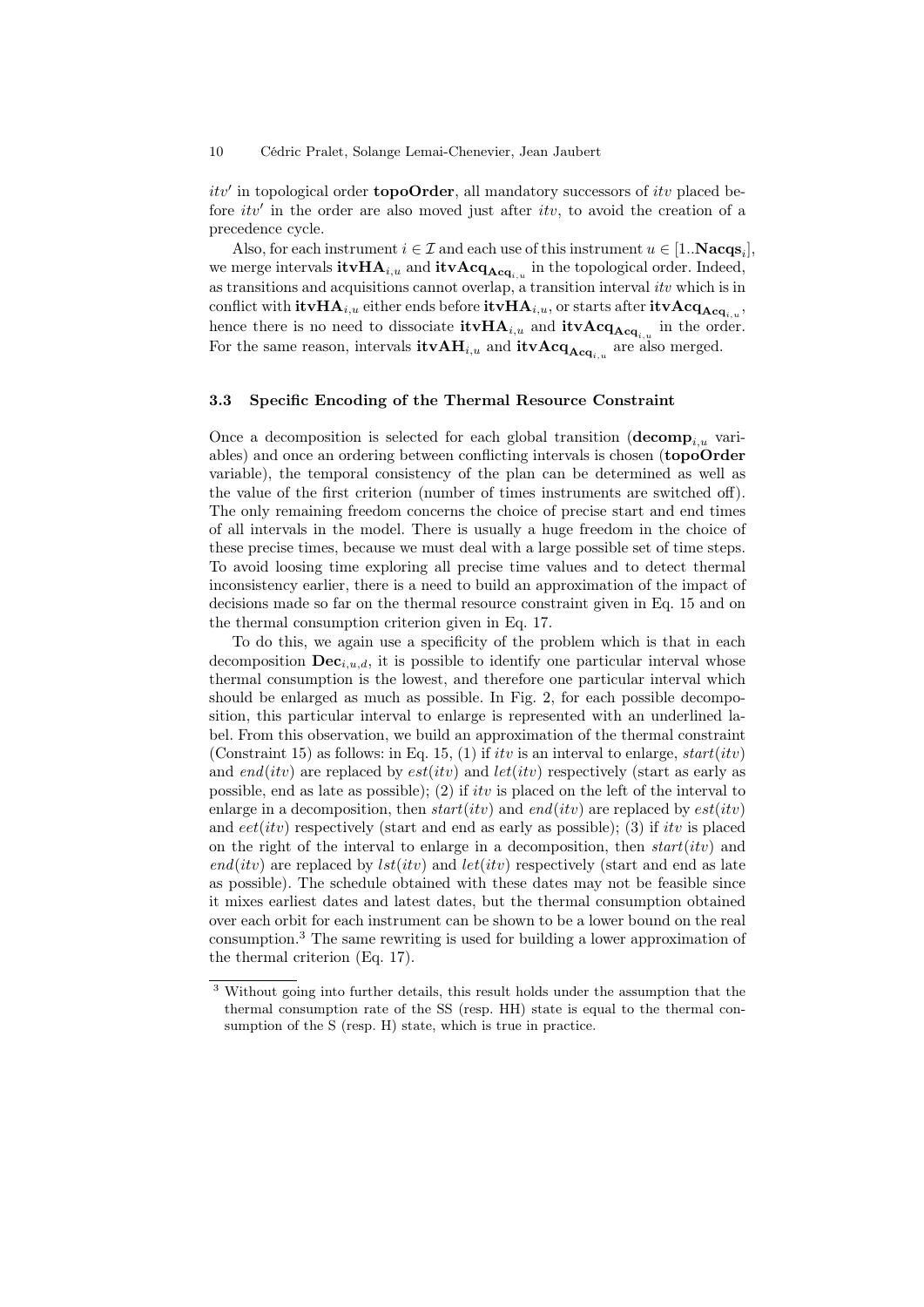$itv'$  in topological order **topoOrder**, all mandatory successors of  $itv$  placed before  $itv'$  in the order are also moved just after  $itv$ , to avoid the creation of a precedence cycle.

Also, for each instrument  $i \in \mathcal{I}$  and each use of this instrument  $u \in [1..\mathbf{Nacqs}_i]$ , we merge intervals  $\textbf{itvHA}_{i,u}$  and  $\textbf{itvAcq}_{\textbf{Acq}_{i,u}}$  in the topological order. Indeed, as transitions and acquisitions cannot overlap, a transition interval *itv* which is in conflict with  $\textbf{itvHA}_{i,u}$  either ends before  $\textbf{itvHA}_{i,u},$  or starts after  $\textbf{itvAcq}_{\textbf{Acq}_{i,u}},$ hence there is no need to dissociate  $itvHA_{i,u}$  and  $itvAcq_{Acq_{i,u}}$  in the order. For the same reason, intervals  $itvAH_{i,u}$  and  $itvAcq_{Acq_{i,u}}$  are also merged.

## 3.3 Specific Encoding of the Thermal Resource Constraint

Once a decomposition is selected for each global transition ( $\text{decomp}_{i,u}$  variables) and once an ordering between conflicting intervals is chosen (topoOrder variable), the temporal consistency of the plan can be determined as well as the value of the first criterion (number of times instruments are switched off). The only remaining freedom concerns the choice of precise start and end times of all intervals in the model. There is usually a huge freedom in the choice of these precise times, because we must deal with a large possible set of time steps. To avoid loosing time exploring all precise time values and to detect thermal inconsistency earlier, there is a need to build an approximation of the impact of decisions made so far on the thermal resource constraint given in Eq. 15 and on the thermal consumption criterion given in Eq. 17.

To do this, we again use a specificity of the problem which is that in each decomposition  $\mathbf{Dec}_{i,u,d}$ , it is possible to identify one particular interval whose thermal consumption is the lowest, and therefore one particular interval which should be enlarged as much as possible. In Fig. 2, for each possible decomposition, this particular interval to enlarge is represented with an underlined label. From this observation, we build an approximation of the thermal constraint (Constraint 15) as follows: in Eq. 15, (1) if it is an interval to enlarge,  $start(itv)$ and end(itv) are replaced by  $est(itv)$  and  $let(itv)$  respectively (start as early as possible, end as late as possible); (2) if *itv* is placed on the left of the interval to enlarge in a decomposition, then  $start(itv)$  and  $end(itv)$  are replaced by  $est(itv)$ and  $eet(iiv)$  respectively (start and end as early as possible); (3) if it is placed on the right of the interval to enlarge in a decomposition, then  $start(itv)$  and  $end(itv)$  are replaced by  $lst(itv)$  and  $let(itv)$  respectively (start and end as late as possible). The schedule obtained with these dates may not be feasible since it mixes earliest dates and latest dates, but the thermal consumption obtained over each orbit for each instrument can be shown to be a lower bound on the real consumption.<sup>3</sup> The same rewriting is used for building a lower approximation of the thermal criterion (Eq. 17).

<sup>&</sup>lt;sup>3</sup> Without going into further details, this result holds under the assumption that the thermal consumption rate of the SS (resp. HH) state is equal to the thermal consumption of the S (resp. H) state, which is true in practice.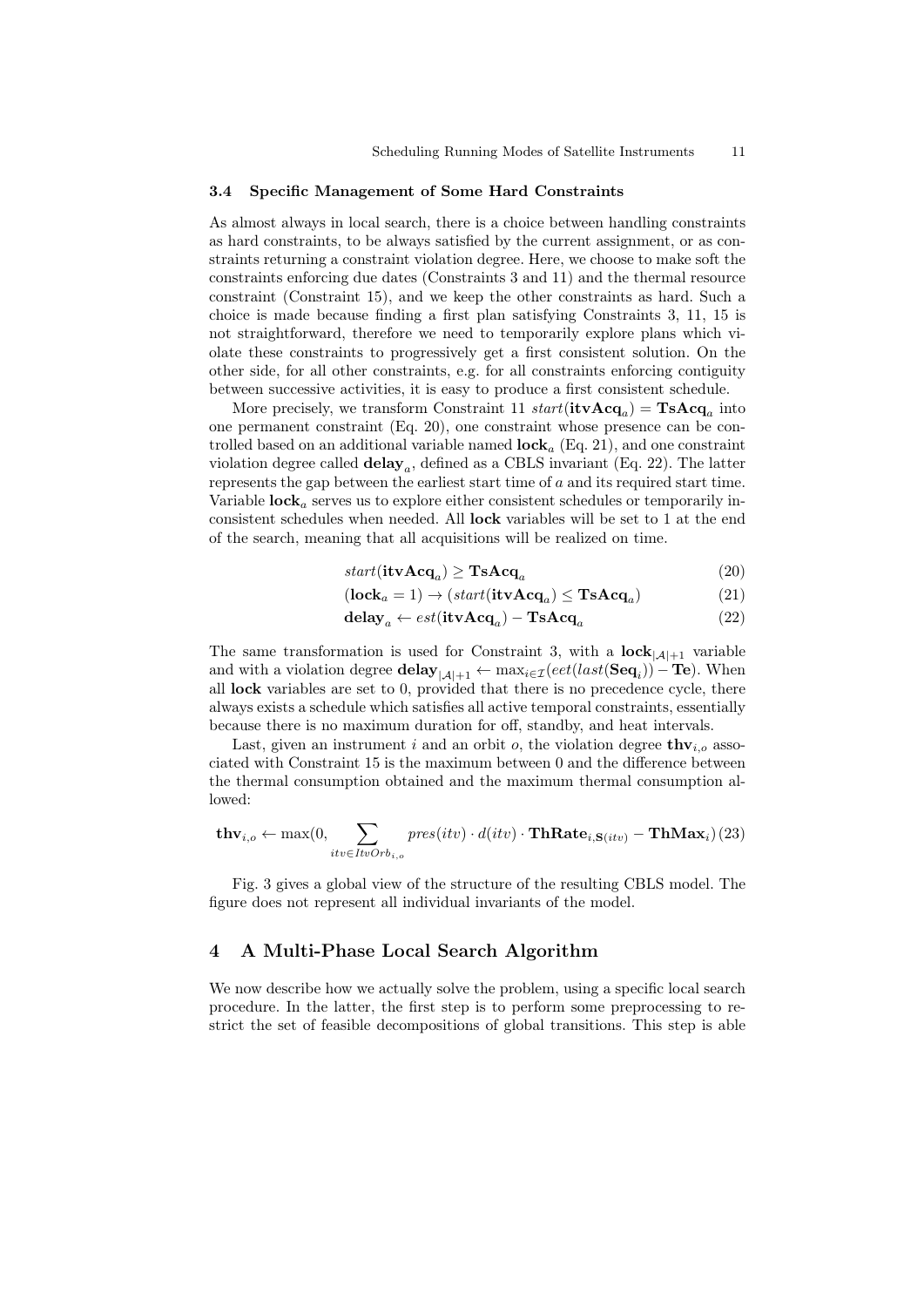## 3.4 Specific Management of Some Hard Constraints

As almost always in local search, there is a choice between handling constraints as hard constraints, to be always satisfied by the current assignment, or as constraints returning a constraint violation degree. Here, we choose to make soft the constraints enforcing due dates (Constraints 3 and 11) and the thermal resource constraint (Constraint 15), and we keep the other constraints as hard. Such a choice is made because finding a first plan satisfying Constraints 3, 11, 15 is not straightforward, therefore we need to temporarily explore plans which violate these constraints to progressively get a first consistent solution. On the other side, for all other constraints, e.g. for all constraints enforcing contiguity between successive activities, it is easy to produce a first consistent schedule.

More precisely, we transform Constraint 11  $start(iivAcq_a) = TsAcq_a$  into one permanent constraint (Eq. 20), one constraint whose presence can be controlled based on an additional variable named  $\text{lock}_a$  (Eq. 21), and one constraint violation degree called  $\text{delay}_a$ , defined as a CBLS invariant (Eq. 22). The latter represents the gap between the earliest start time of a and its required start time. Variable  $\mathbf{lock}_a$  serves us to explore either consistent schedules or temporarily inconsistent schedules when needed. All lock variables will be set to 1 at the end of the search, meaning that all acquisitions will be realized on time.

$$
start(\mathbf{itvAcq}_a) \geq \mathbf{TsAcq}_a \tag{20}
$$

$$
(\mathbf{lock}_{a} = 1) \rightarrow (start(\mathbf{itvAcq}_{a}) \leq \mathbf{TsAcq}_{a})
$$
\n(21)

$$
\mathbf{delay}_{a} \leftarrow est(\mathbf{itvAcq}_{a}) - \mathbf{TsAcq}_{a} \tag{22}
$$

The same transformation is used for Constraint 3, with a  $\text{lock}_{|\mathcal{A}|+1}$  variable and with a violation degree  $\textbf{delay}_{|\mathcal{A}|+1} \leftarrow \max_{i \in \mathcal{I}}(eet(last(\textbf{Seq}_i)) - \textbf{Te}).$  When all lock variables are set to 0, provided that there is no precedence cycle, there always exists a schedule which satisfies all active temporal constraints, essentially because there is no maximum duration for off, standby, and heat intervals.

Last, given an instrument i and an orbit o, the violation degree  $\text{thv}_{i,o}$  associated with Constraint 15 is the maximum between 0 and the difference between the thermal consumption obtained and the maximum thermal consumption allowed:

$$
\mathbf{thv}_{i,o} \leftarrow \max(0, \sum_{itv \in ItvOrb_{i,o}} pres(itv) \cdot d(itv) \cdot \mathbf{ThRate}_{i, \mathbf{S}(itv)} - \mathbf{ThMax}_i \tag{23}
$$

Fig. 3 gives a global view of the structure of the resulting CBLS model. The figure does not represent all individual invariants of the model.

## 4 A Multi-Phase Local Search Algorithm

We now describe how we actually solve the problem, using a specific local search procedure. In the latter, the first step is to perform some preprocessing to restrict the set of feasible decompositions of global transitions. This step is able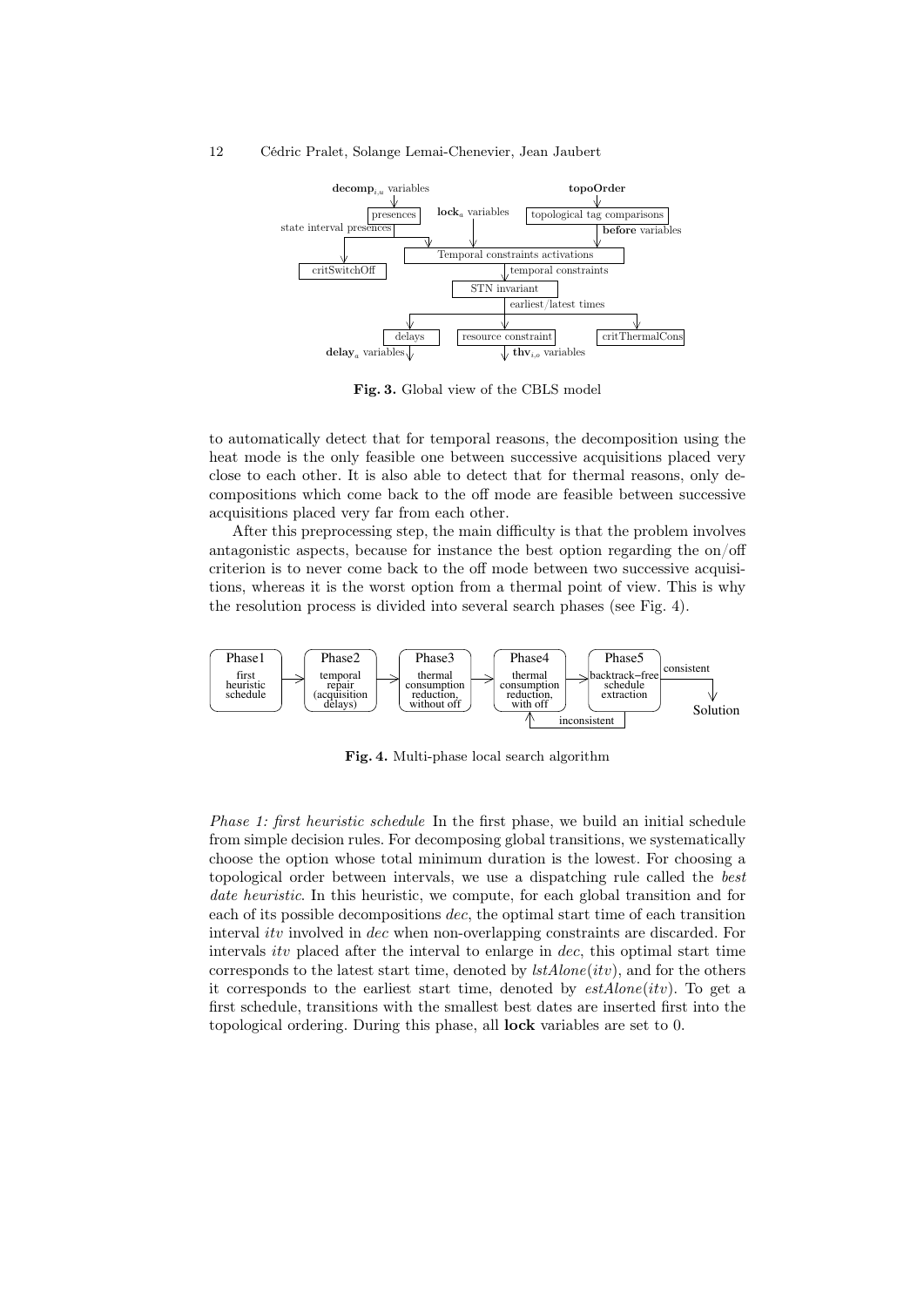

Fig. 3. Global view of the CBLS model

to automatically detect that for temporal reasons, the decomposition using the heat mode is the only feasible one between successive acquisitions placed very close to each other. It is also able to detect that for thermal reasons, only decompositions which come back to the off mode are feasible between successive acquisitions placed very far from each other.

After this preprocessing step, the main difficulty is that the problem involves antagonistic aspects, because for instance the best option regarding the on/off criterion is to never come back to the off mode between two successive acquisitions, whereas it is the worst option from a thermal point of view. This is why the resolution process is divided into several search phases (see Fig. 4).



Fig. 4. Multi-phase local search algorithm

Phase 1: first heuristic schedule In the first phase, we build an initial schedule from simple decision rules. For decomposing global transitions, we systematically choose the option whose total minimum duration is the lowest. For choosing a topological order between intervals, we use a dispatching rule called the best date heuristic. In this heuristic, we compute, for each global transition and for each of its possible decompositions dec, the optimal start time of each transition interval itv involved in dec when non-overlapping constraints are discarded. For intervals itv placed after the interval to enlarge in dec, this optimal start time corresponds to the latest start time, denoted by  $lstAlone(itv)$ , and for the others it corresponds to the earliest start time, denoted by  $estAlone(itv)$ . To get a first schedule, transitions with the smallest best dates are inserted first into the topological ordering. During this phase, all lock variables are set to 0.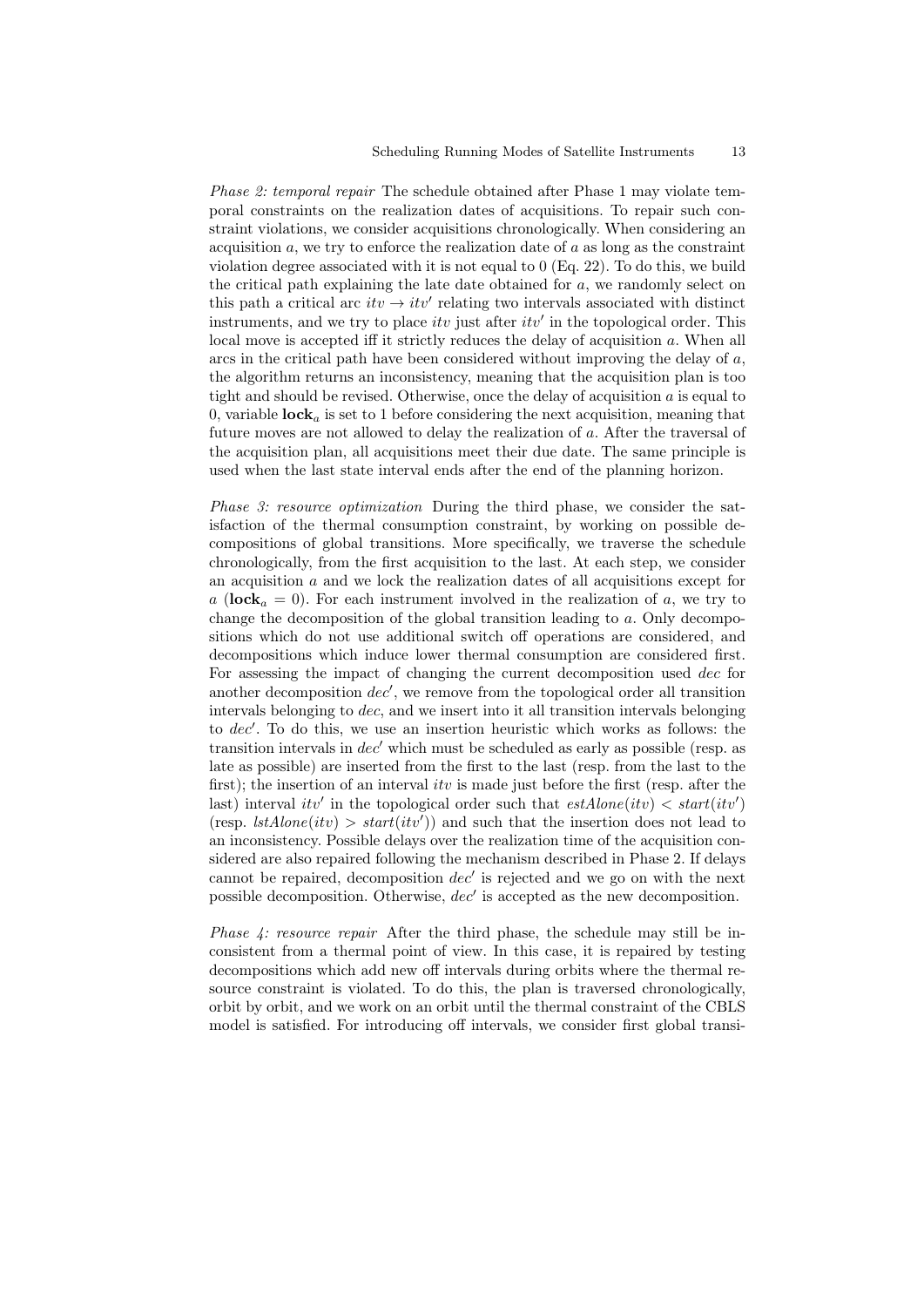Phase 2: temporal repair The schedule obtained after Phase 1 may violate temporal constraints on the realization dates of acquisitions. To repair such constraint violations, we consider acquisitions chronologically. When considering an acquisition  $a$ , we try to enforce the realization date of  $a$  as long as the constraint violation degree associated with it is not equal to 0 (Eq. 22). To do this, we build the critical path explaining the late date obtained for  $a$ , we randomly select on this path a critical arc  $itv \rightarrow itv'$  relating two intervals associated with distinct instruments, and we try to place *itv* just after  $itv'$  in the topological order. This local move is accepted iff it strictly reduces the delay of acquisition a. When all arcs in the critical path have been considered without improving the delay of  $a$ , the algorithm returns an inconsistency, meaning that the acquisition plan is too tight and should be revised. Otherwise, once the delay of acquisition  $a$  is equal to 0, variable  $\mathbf{lock}_a$  is set to 1 before considering the next acquisition, meaning that future moves are not allowed to delay the realization of a. After the traversal of the acquisition plan, all acquisitions meet their due date. The same principle is used when the last state interval ends after the end of the planning horizon.

Phase 3: resource optimization During the third phase, we consider the satisfaction of the thermal consumption constraint, by working on possible decompositions of global transitions. More specifically, we traverse the schedule chronologically, from the first acquisition to the last. At each step, we consider an acquisition a and we lock the realization dates of all acquisitions except for a (lock<sub>a</sub> = 0). For each instrument involved in the realization of a, we try to change the decomposition of the global transition leading to a. Only decompositions which do not use additional switch off operations are considered, and decompositions which induce lower thermal consumption are considered first. For assessing the impact of changing the current decomposition used dec for another decomposition  $dec'$ , we remove from the topological order all transition intervals belonging to dec, and we insert into it all transition intervals belonging to  $dec'$ . To do this, we use an insertion heuristic which works as follows: the transition intervals in  $dec'$  which must be scheduled as early as possible (resp. as late as possible) are inserted from the first to the last (resp. from the last to the first); the insertion of an interval *itv* is made just before the first (resp. after the last) interval *itv'* in the topological order such that  $estAlone(itv) < start(itv')$ (resp.  $lstalone (itv) > start (itv')$ ) and such that the insertion does not lead to an inconsistency. Possible delays over the realization time of the acquisition considered are also repaired following the mechanism described in Phase 2. If delays cannot be repaired, decomposition  $dec'$  is rejected and we go on with the next possible decomposition. Otherwise,  $dec'$  is accepted as the new decomposition.

Phase 4: resource repair After the third phase, the schedule may still be inconsistent from a thermal point of view. In this case, it is repaired by testing decompositions which add new off intervals during orbits where the thermal resource constraint is violated. To do this, the plan is traversed chronologically, orbit by orbit, and we work on an orbit until the thermal constraint of the CBLS model is satisfied. For introducing off intervals, we consider first global transi-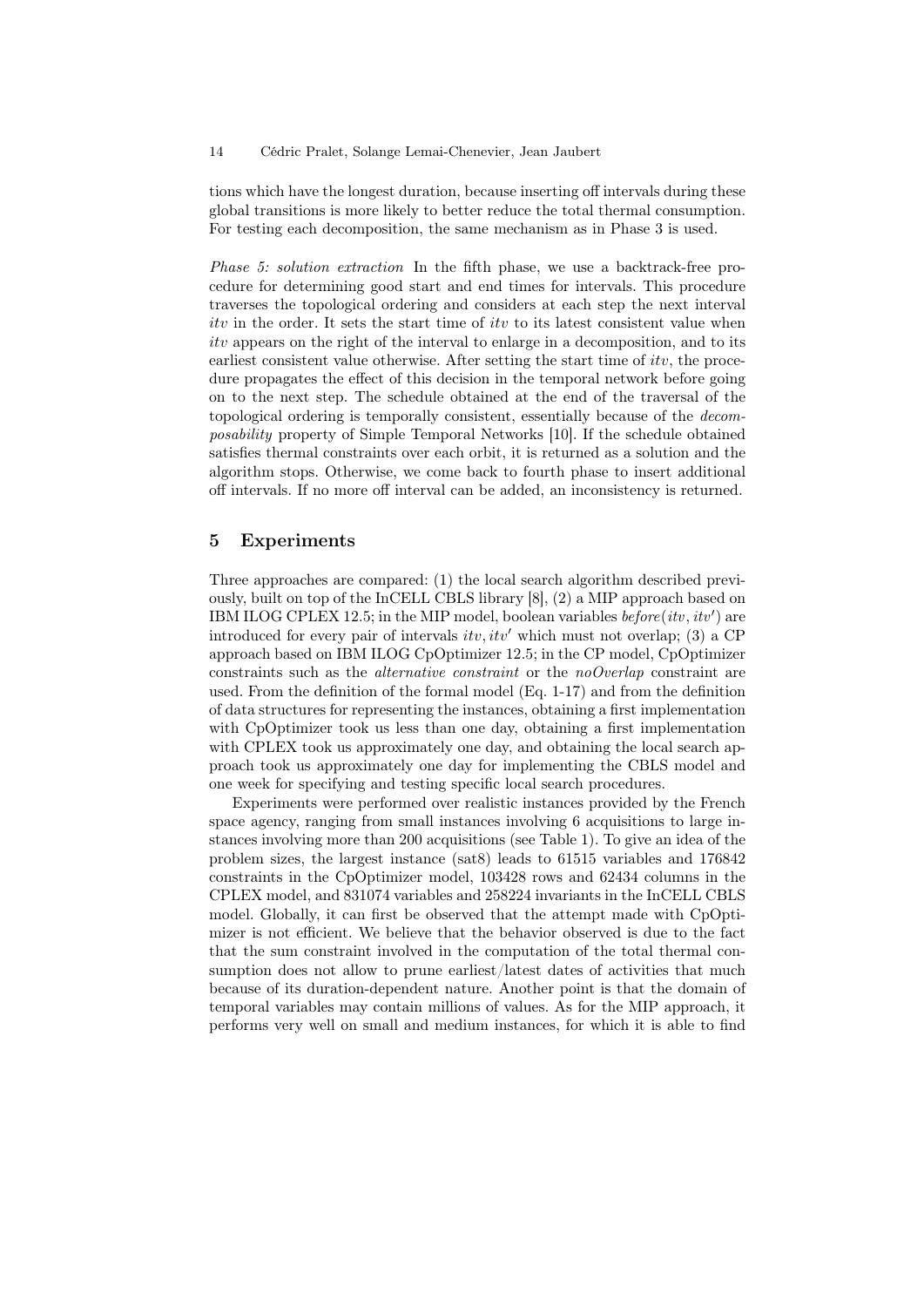tions which have the longest duration, because inserting off intervals during these global transitions is more likely to better reduce the total thermal consumption. For testing each decomposition, the same mechanism as in Phase 3 is used.

Phase 5: solution extraction In the fifth phase, we use a backtrack-free procedure for determining good start and end times for intervals. This procedure traverses the topological ordering and considers at each step the next interval ity in the order. It sets the start time of ity to its latest consistent value when itv appears on the right of the interval to enlarge in a decomposition, and to its earliest consistent value otherwise. After setting the start time of  $itv$ , the procedure propagates the effect of this decision in the temporal network before going on to the next step. The schedule obtained at the end of the traversal of the topological ordering is temporally consistent, essentially because of the decomposability property of Simple Temporal Networks [10]. If the schedule obtained satisfies thermal constraints over each orbit, it is returned as a solution and the algorithm stops. Otherwise, we come back to fourth phase to insert additional off intervals. If no more off interval can be added, an inconsistency is returned.

# 5 Experiments

Three approaches are compared: (1) the local search algorithm described previously, built on top of the InCELL CBLS library [8], (2) a MIP approach based on IBM ILOG CPLEX 12.5; in the MIP model, boolean variables  $before(itv, itv')$  are introduced for every pair of intervals  $itv, itv'$  which must not overlap; (3) a CP approach based on IBM ILOG CpOptimizer 12.5; in the CP model, CpOptimizer constraints such as the *alternative constraint* or the *noOverlap* constraint are used. From the definition of the formal model (Eq. 1-17) and from the definition of data structures for representing the instances, obtaining a first implementation with CpOptimizer took us less than one day, obtaining a first implementation with CPLEX took us approximately one day, and obtaining the local search approach took us approximately one day for implementing the CBLS model and one week for specifying and testing specific local search procedures.

Experiments were performed over realistic instances provided by the French space agency, ranging from small instances involving 6 acquisitions to large instances involving more than 200 acquisitions (see Table 1). To give an idea of the problem sizes, the largest instance (sat8) leads to 61515 variables and 176842 constraints in the CpOptimizer model, 103428 rows and 62434 columns in the CPLEX model, and 831074 variables and 258224 invariants in the InCELL CBLS model. Globally, it can first be observed that the attempt made with CpOptimizer is not efficient. We believe that the behavior observed is due to the fact that the sum constraint involved in the computation of the total thermal consumption does not allow to prune earliest/latest dates of activities that much because of its duration-dependent nature. Another point is that the domain of temporal variables may contain millions of values. As for the MIP approach, it performs very well on small and medium instances, for which it is able to find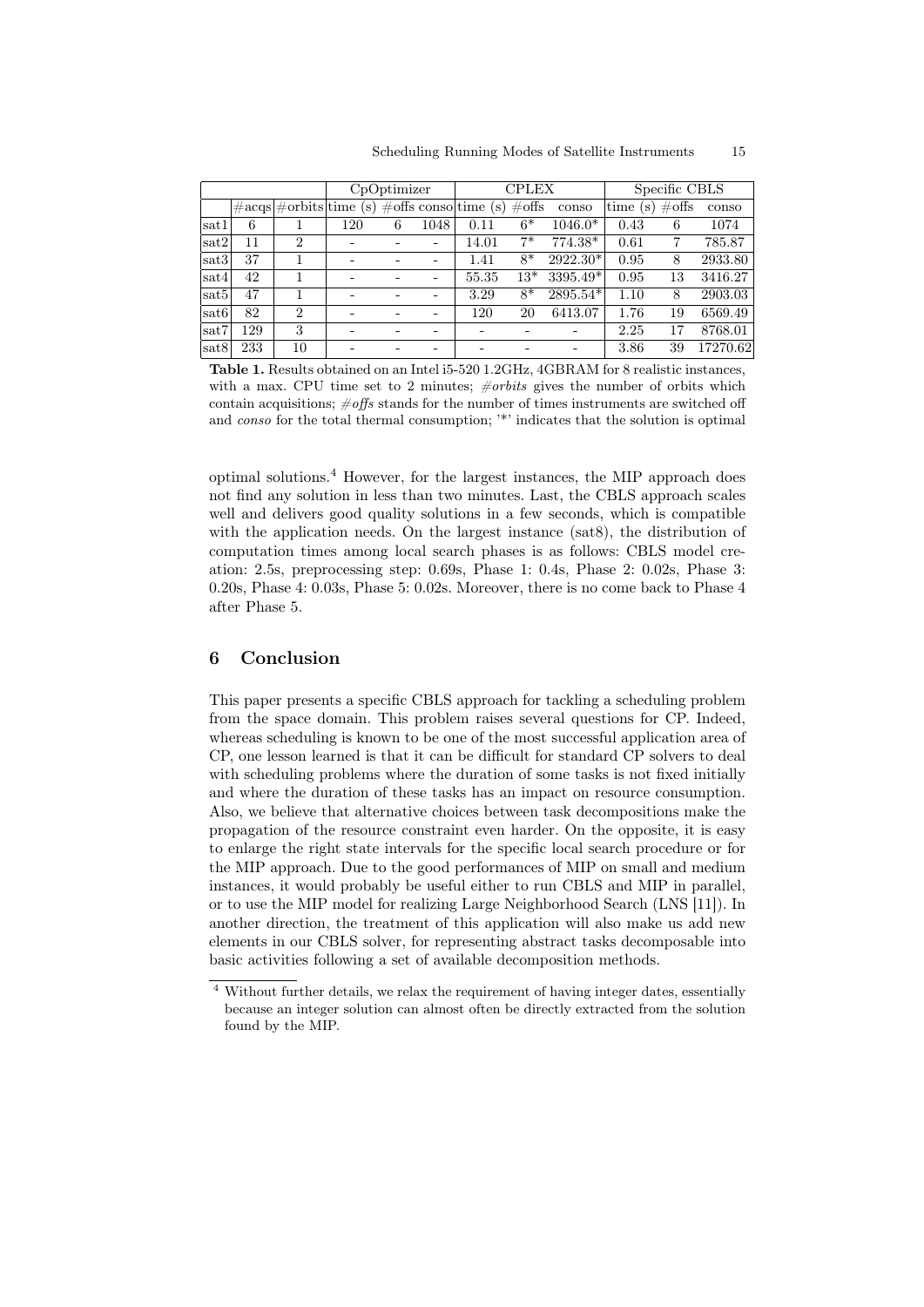|                        |     |                                                     | CpOptimizer |   |      | <b>CPLEX</b>             |                 |            | Specific CBLS |                 |          |
|------------------------|-----|-----------------------------------------------------|-------------|---|------|--------------------------|-----------------|------------|---------------|-----------------|----------|
|                        |     | $\#\text{acqs}$ = the set of $\sinh(\sinh(\theta))$ |             |   |      | $\#$ offs conso time (s) | $\#\text{offs}$ | conso      | time(s)       | $\#\text{offs}$ | conso    |
| $\sqrt{\mathrm{sat1}}$ | 6   |                                                     | 120         | 6 | 1048 | 0.11                     | $6*$            | $1046.0*$  | 0.43          | 6               | 1074     |
| sat2                   | 11  | $\overline{2}$                                      |             |   |      | 14.01                    | $7*$            | 774.38*    | 0.61          | 7               | 785.87   |
| sat3                   | 37  |                                                     |             |   |      | 1.41                     | $8*$            | $2922.30*$ | 0.95          | 8               | 2933.80  |
| sat4                   | 42  |                                                     |             |   |      | 55.35                    | $13*$           | 3395.49*   | 0.95          | 13              | 3416.27  |
| sat5                   | 47  |                                                     | -           |   |      | 3.29                     | 8*              | $2895.54*$ | 1.10          | 8               | 2903.03  |
| sat6                   | 82  | $\mathfrak{D}$                                      |             |   |      | 120                      | 20              | 6413.07    | 1.76          | 19              | 6569.49  |
| $ {\rm sat7} $         | 129 | 3                                                   | -           |   |      |                          |                 |            | 2.25          | 17              | 8768.01  |
| sat <sub>8</sub>       | 233 | 10                                                  |             |   |      |                          |                 |            | 3.86          | 39              | 17270.62 |

Table 1. Results obtained on an Intel i5-520 1.2GHz, 4GBRAM for 8 realistic instances, with a max. CPU time set to 2 minutes;  $#orbits$  gives the number of orbits which contain acquisitions;  $\# \text{offs stands for the number of times instruments are switched off}$ and *conso* for the total thermal consumption; '\*' indicates that the solution is optimal

optimal solutions.<sup>4</sup> However, for the largest instances, the MIP approach does not find any solution in less than two minutes. Last, the CBLS approach scales well and delivers good quality solutions in a few seconds, which is compatible with the application needs. On the largest instance (sat8), the distribution of computation times among local search phases is as follows: CBLS model creation: 2.5s, preprocessing step: 0.69s, Phase 1: 0.4s, Phase 2: 0.02s, Phase 3: 0.20s, Phase 4: 0.03s, Phase 5: 0.02s. Moreover, there is no come back to Phase 4 after Phase 5.

# 6 Conclusion

This paper presents a specific CBLS approach for tackling a scheduling problem from the space domain. This problem raises several questions for CP. Indeed, whereas scheduling is known to be one of the most successful application area of CP, one lesson learned is that it can be difficult for standard CP solvers to deal with scheduling problems where the duration of some tasks is not fixed initially and where the duration of these tasks has an impact on resource consumption. Also, we believe that alternative choices between task decompositions make the propagation of the resource constraint even harder. On the opposite, it is easy to enlarge the right state intervals for the specific local search procedure or for the MIP approach. Due to the good performances of MIP on small and medium instances, it would probably be useful either to run CBLS and MIP in parallel, or to use the MIP model for realizing Large Neighborhood Search (LNS [11]). In another direction, the treatment of this application will also make us add new elements in our CBLS solver, for representing abstract tasks decomposable into basic activities following a set of available decomposition methods.

 $\frac{4}{4}$  Without further details, we relax the requirement of having integer dates, essentially because an integer solution can almost often be directly extracted from the solution found by the MIP.